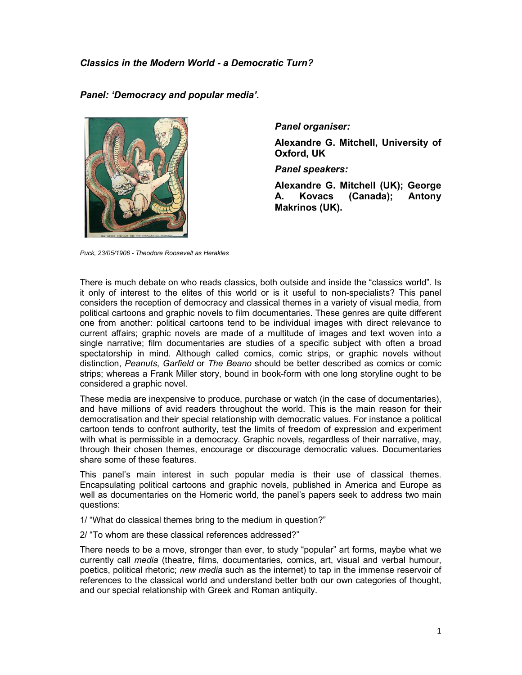Panel: 'Democracy and popular media'.



Panel organiser:

Alexandre G. Mitchell, University of Oxford, UK

Panel speakers:

Alexandre G. Mitchell (UK); George A. Kovacs (Canada); Antony Makrinos (UK).

Puck, 23/05/1906 - Theodore Roosevelt as Herakles

There is much debate on who reads classics, both outside and inside the "classics world". Is it only of interest to the elites of this world or is it useful to non-specialists? This panel considers the reception of democracy and classical themes in a variety of visual media, from political cartoons and graphic novels to film documentaries. These genres are quite different one from another: political cartoons tend to be individual images with direct relevance to current affairs; graphic novels are made of a multitude of images and text woven into a single narrative; film documentaries are studies of a specific subject with often a broad spectatorship in mind. Although called comics, comic strips, or graphic novels without distinction, Peanuts, Garfield or The Beano should be better described as comics or comic strips; whereas a Frank Miller story, bound in book-form with one long storyline ought to be considered a graphic novel.

These media are inexpensive to produce, purchase or watch (in the case of documentaries), and have millions of avid readers throughout the world. This is the main reason for their democratisation and their special relationship with democratic values. For instance a political cartoon tends to confront authority, test the limits of freedom of expression and experiment with what is permissible in a democracy. Graphic novels, regardless of their narrative, may, through their chosen themes, encourage or discourage democratic values. Documentaries share some of these features.

This panel's main interest in such popular media is their use of classical themes. Encapsulating political cartoons and graphic novels, published in America and Europe as well as documentaries on the Homeric world, the panel's papers seek to address two main questions:

1/ "What do classical themes bring to the medium in question?"

2/ "To whom are these classical references addressed?"

There needs to be a move, stronger than ever, to study "popular" art forms, maybe what we currently call media (theatre, films, documentaries, comics, art, visual and verbal humour, poetics, political rhetoric; new media such as the internet) to tap in the immense reservoir of references to the classical world and understand better both our own categories of thought, and our special relationship with Greek and Roman antiquity.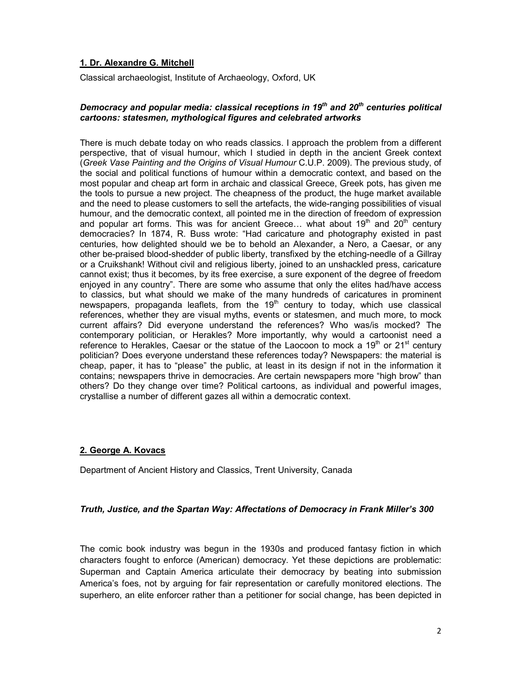## 1. Dr. Alexandre G. Mitchell

Classical archaeologist, Institute of Archaeology, Oxford, UK

### Democracy and popular media: classical receptions in 19 $<sup>th</sup>$  and 20 $<sup>th</sup>$  centuries political</sup></sup> cartoons: statesmen, mythological figures and celebrated artworks

There is much debate today on who reads classics. I approach the problem from a different perspective, that of visual humour, which I studied in depth in the ancient Greek context (Greek Vase Painting and the Origins of Visual Humour C.U.P. 2009). The previous study, of the social and political functions of humour within a democratic context, and based on the most popular and cheap art form in archaic and classical Greece, Greek pots, has given me the tools to pursue a new project. The cheapness of the product, the huge market available and the need to please customers to sell the artefacts, the wide-ranging possibilities of visual humour, and the democratic context, all pointed me in the direction of freedom of expression and popular art forms. This was for ancient Greece... what about 19<sup>th</sup> and 20<sup>th</sup> century democracies? In 1874, R. Buss wrote: "Had caricature and photography existed in past centuries, how delighted should we be to behold an Alexander, a Nero, a Caesar, or any other be-praised blood-shedder of public liberty, transfixed by the etching-needle of a Gillray or a Cruikshank! Without civil and religious liberty, joined to an unshackled press, caricature cannot exist; thus it becomes, by its free exercise, a sure exponent of the degree of freedom enjoyed in any country". There are some who assume that only the elites had/have access to classics, but what should we make of the many hundreds of caricatures in prominent newspapers, propaganda leaflets, from the  $19<sup>th</sup>$  century to today, which use classical references, whether they are visual myths, events or statesmen, and much more, to mock current affairs? Did everyone understand the references? Who was/is mocked? The contemporary politician, or Herakles? More importantly, why would a cartoonist need a reference to Herakles, Caesar or the statue of the Laocoon to mock a 19<sup>th</sup> or 21<sup>st</sup> century politician? Does everyone understand these references today? Newspapers: the material is cheap, paper, it has to "please" the public, at least in its design if not in the information it contains; newspapers thrive in democracies. Are certain newspapers more "high brow" than others? Do they change over time? Political cartoons, as individual and powerful images, crystallise a number of different gazes all within a democratic context.

# 2. George A. Kovacs

Department of Ancient History and Classics, Trent University, Canada

#### Truth, Justice, and the Spartan Way: Affectations of Democracy in Frank Miller's 300

The comic book industry was begun in the 1930s and produced fantasy fiction in which characters fought to enforce (American) democracy. Yet these depictions are problematic: Superman and Captain America articulate their democracy by beating into submission America's foes, not by arguing for fair representation or carefully monitored elections. The superhero, an elite enforcer rather than a petitioner for social change, has been depicted in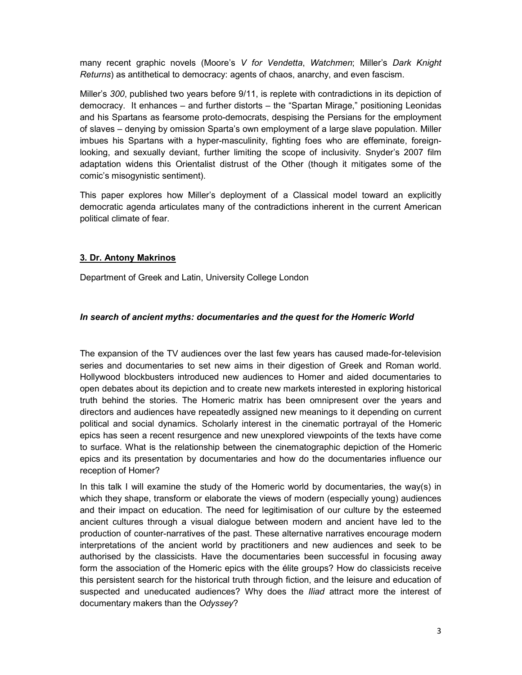many recent graphic novels (Moore's V for Vendetta, Watchmen; Miller's Dark Knight Returns) as antithetical to democracy: agents of chaos, anarchy, and even fascism.

Miller's 300, published two years before 9/11, is replete with contradictions in its depiction of democracy. It enhances – and further distorts – the "Spartan Mirage," positioning Leonidas and his Spartans as fearsome proto-democrats, despising the Persians for the employment of slaves – denying by omission Sparta's own employment of a large slave population. Miller imbues his Spartans with a hyper-masculinity, fighting foes who are effeminate, foreignlooking, and sexually deviant, further limiting the scope of inclusivity. Snyder's 2007 film adaptation widens this Orientalist distrust of the Other (though it mitigates some of the comic's misogynistic sentiment).

This paper explores how Miller's deployment of a Classical model toward an explicitly democratic agenda articulates many of the contradictions inherent in the current American political climate of fear.

## 3. Dr. Antony Makrinos

Department of Greek and Latin, University College London

### In search of ancient myths: documentaries and the quest for the Homeric World

The expansion of the TV audiences over the last few years has caused made-for-television series and documentaries to set new aims in their digestion of Greek and Roman world. Hollywood blockbusters introduced new audiences to Homer and aided documentaries to open debates about its depiction and to create new markets interested in exploring historical truth behind the stories. The Homeric matrix has been omnipresent over the years and directors and audiences have repeatedly assigned new meanings to it depending on current political and social dynamics. Scholarly interest in the cinematic portrayal of the Homeric epics has seen a recent resurgence and new unexplored viewpoints of the texts have come to surface. What is the relationship between the cinematographic depiction of the Homeric epics and its presentation by documentaries and how do the documentaries influence our reception of Homer?

In this talk I will examine the study of the Homeric world by documentaries, the way(s) in which they shape, transform or elaborate the views of modern (especially young) audiences and their impact on education. The need for legitimisation of our culture by the esteemed ancient cultures through a visual dialogue between modern and ancient have led to the production of counter-narratives of the past. These alternative narratives encourage modern interpretations of the ancient world by practitioners and new audiences and seek to be authorised by the classicists. Have the documentaries been successful in focusing away form the association of the Homeric epics with the élite groups? How do classicists receive this persistent search for the historical truth through fiction, and the leisure and education of suspected and uneducated audiences? Why does the *Iliad* attract more the interest of documentary makers than the Odyssey?